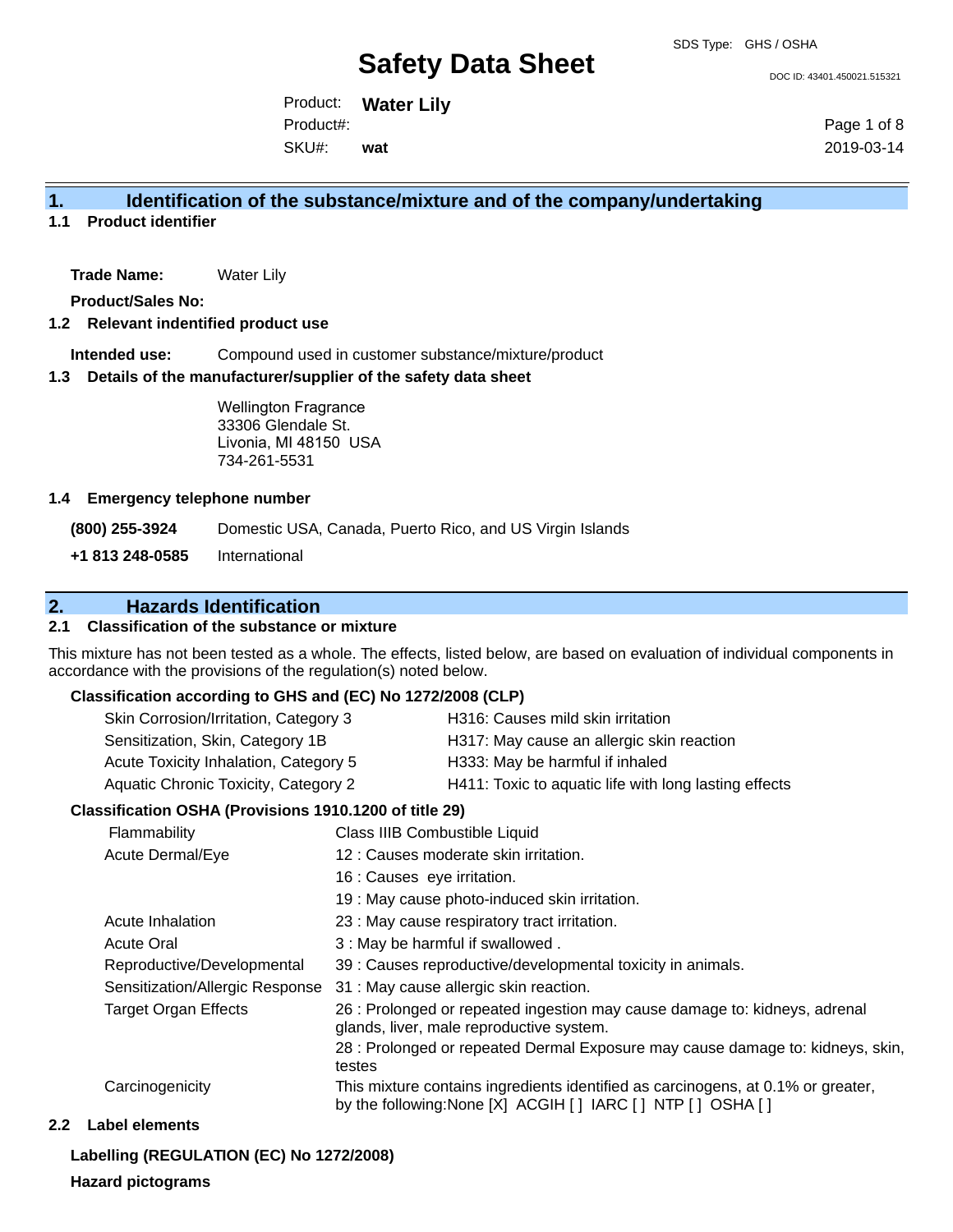DOC ID: 43401.450021.515321

Product: **Water Lily** SKU#: Product#: **wat**

Page 1 of 8 2019-03-14

### **1. Identification of the substance/mixture and of the company/undertaking**

**1.1 Product identifier**

**Trade Name:** Water Lily

**Product/Sales No:**

#### **1.2 Relevant indentified product use**

**Intended use:** Compound used in customer substance/mixture/product

#### **1.3 Details of the manufacturer/supplier of the safety data sheet**

Wellington Fragrance 33306 Glendale St. Livonia, MI 48150 USA 734-261-5531

#### **1.4 Emergency telephone number**

**(800) 255-3924** Domestic USA, Canada, Puerto Rico, and US Virgin Islands **+1 813 248-0585** International

### **2. Hazards Identification**

#### **2.1 Classification of the substance or mixture**

This mixture has not been tested as a whole. The effects, listed below, are based on evaluation of individual components in accordance with the provisions of the regulation(s) noted below.

#### **Classification according to GHS and (EC) No 1272/2008 (CLP)**

| Skin Corrosion/Irritation, Category 3 | H316: Causes mild skin irritation                     |
|---------------------------------------|-------------------------------------------------------|
| Sensitization, Skin, Category 1B      | H317: May cause an allergic skin reaction             |
| Acute Toxicity Inhalation, Category 5 | H333: May be harmful if inhaled                       |
| Aquatic Chronic Toxicity, Category 2  | H411: Toxic to aquatic life with long lasting effects |
|                                       |                                                       |

#### **Classification OSHA (Provisions 1910.1200 of title 29)**

| Flammability                    | Class IIIB Combustible Liquid                                                                                                                      |
|---------------------------------|----------------------------------------------------------------------------------------------------------------------------------------------------|
| Acute Dermal/Eye                | 12 : Causes moderate skin irritation.                                                                                                              |
|                                 | 16 : Causes eye irritation.                                                                                                                        |
|                                 | 19 : May cause photo-induced skin irritation.                                                                                                      |
| Acute Inhalation                | 23 : May cause respiratory tract irritation.                                                                                                       |
| <b>Acute Oral</b>               | 3 : May be harmful if swallowed.                                                                                                                   |
| Reproductive/Developmental      | 39 : Causes reproductive/developmental toxicity in animals.                                                                                        |
| Sensitization/Allergic Response | 31 : May cause allergic skin reaction.                                                                                                             |
| <b>Target Organ Effects</b>     | 26 : Prolonged or repeated ingestion may cause damage to: kidneys, adrenal<br>glands, liver, male reproductive system.                             |
|                                 | 28 : Prolonged or repeated Dermal Exposure may cause damage to: kidneys, skin,<br>testes                                                           |
| Carcinogenicity                 | This mixture contains ingredients identified as carcinogens, at 0.1% or greater,<br>by the following: None [X] ACGIH [ ] IARC [ ] NTP [ ] OSHA [ ] |

#### **2.2 Label elements**

# **Labelling (REGULATION (EC) No 1272/2008)**

#### **Hazard pictograms**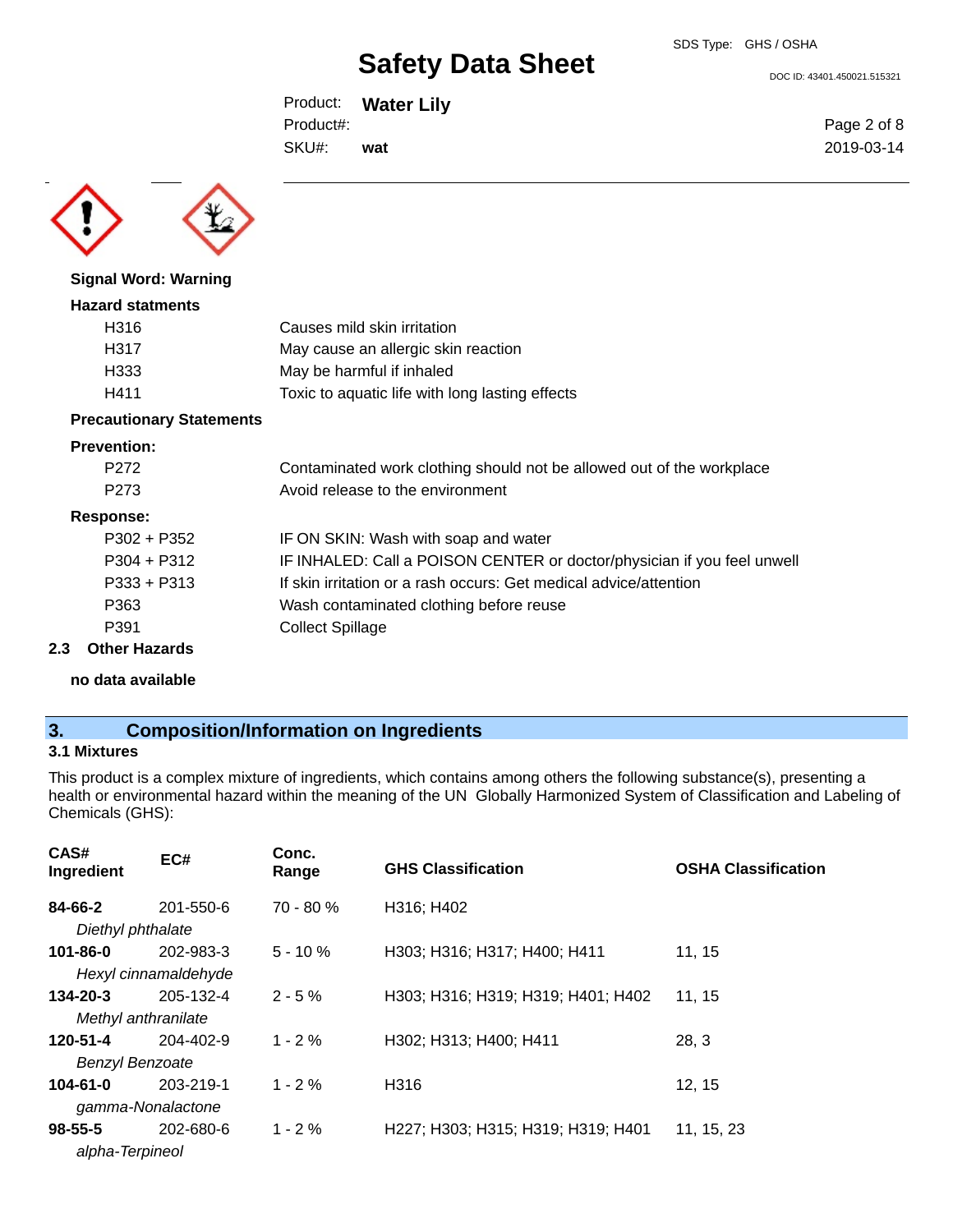DOC ID: 43401.450021.515321

Product: **Water Lily** SKU#: Product#: **wat**

Page 2 of 8 2019-03-14



**Signal Word: Warning**

### **Hazard statments** H316 Causes mild skin irritation H317 May cause an allergic skin reaction H333 May be harmful if inhaled H411 Toxic to aquatic life with long lasting effects

#### **Precautionary Statements**

#### **Prevention:**

| P <sub>272</sub>   | Contaminated work clothing should not be allowed out of the workplace   |
|--------------------|-------------------------------------------------------------------------|
| P <sub>273</sub>   | Avoid release to the environment                                        |
| Response:          |                                                                         |
| $P302 + P352$      | IF ON SKIN: Wash with soap and water                                    |
| $P304 + P312$      | IF INHALED: Call a POISON CENTER or doctor/physician if you feel unwell |
| $P333 + P313$      | If skin irritation or a rash occurs: Get medical advice/attention       |
| P363               | Wash contaminated clothing before reuse                                 |
| P391               | <b>Collect Spillage</b>                                                 |
| $A + L = 11 - 22L$ |                                                                         |

### **2.3 Other Hazards**

**no data available**

## **3. Composition/Information on Ingredients**

#### **3.1 Mixtures**

This product is a complex mixture of ingredients, which contains among others the following substance(s), presenting a health or environmental hazard within the meaning of the UN Globally Harmonized System of Classification and Labeling of Chemicals (GHS):

| CAS#<br>Ingredient     | EC#                  | Conc.<br>Range | <b>GHS Classification</b>          | <b>OSHA Classification</b> |
|------------------------|----------------------|----------------|------------------------------------|----------------------------|
| 84-66-2                | 201-550-6            | 70 - 80 %      | H316; H402                         |                            |
| Diethyl phthalate      |                      |                |                                    |                            |
| $101 - 86 - 0$         | 202-983-3            | $5 - 10 \%$    | H303; H316; H317; H400; H411       | 11, 15                     |
|                        | Hexyl cinnamaldehyde |                |                                    |                            |
| $134 - 20 - 3$         | 205-132-4            | $2 - 5%$       | H303; H316; H319; H319; H401; H402 | 11, 15                     |
| Methyl anthranilate    |                      |                |                                    |                            |
| 120-51-4               | 204-402-9            | $1 - 2%$       | H302; H313; H400; H411             | 28, 3                      |
| <b>Benzyl Benzoate</b> |                      |                |                                    |                            |
| $104 - 61 - 0$         | 203-219-1            | $1 - 2%$       | H316                               | 12, 15                     |
| gamma-Nonalactone      |                      |                |                                    |                            |
| $98 - 55 - 5$          | 202-680-6            | $1 - 2%$       | H227; H303; H315; H319; H319; H401 | 11, 15, 23                 |
| alpha-Terpineol        |                      |                |                                    |                            |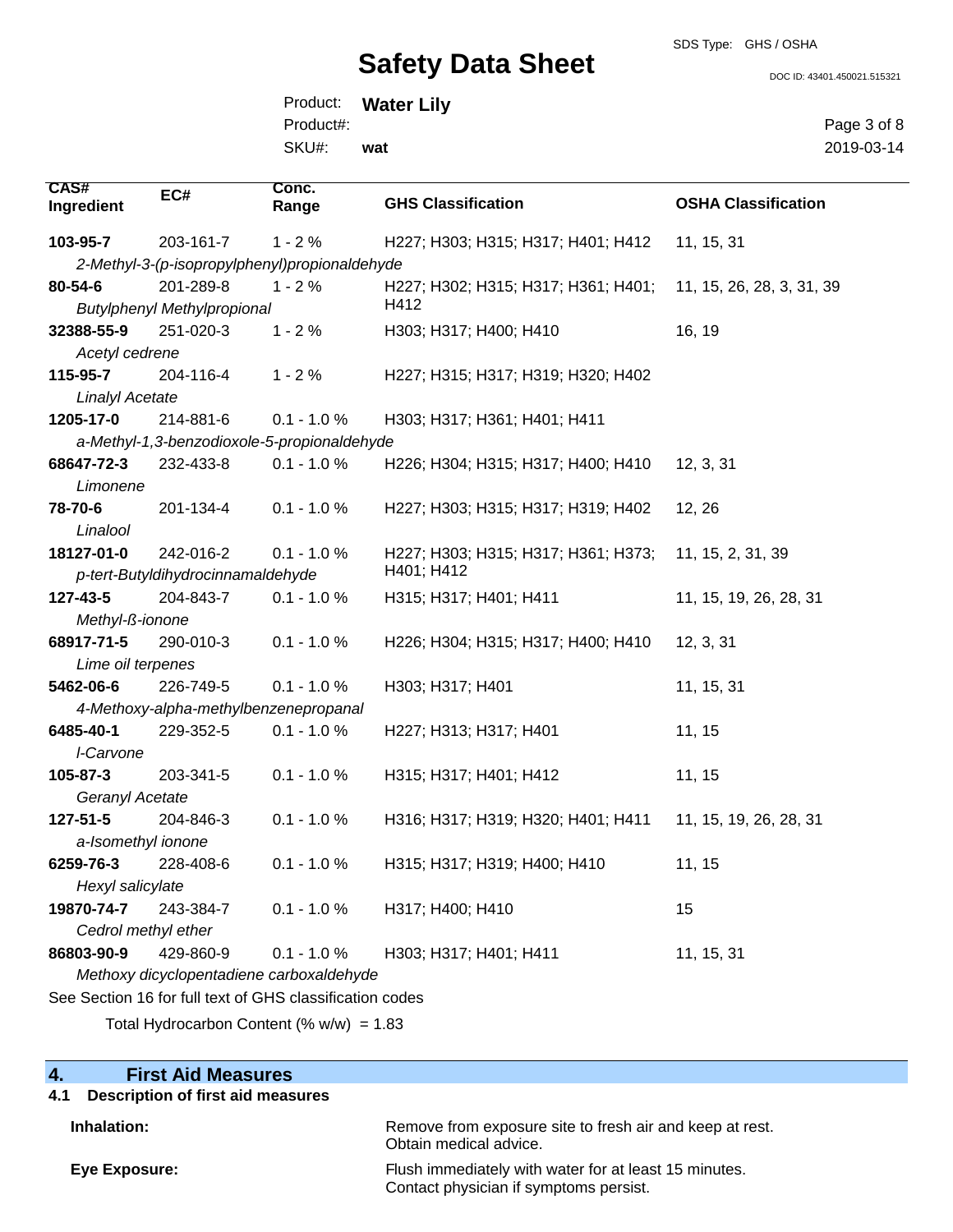#### SDS Type: GHS / OSHA

# **Safety Data Sheet**

DOC ID: 43401.450021.515321

Page 3 of 8 2019-03-14

Product: **Water Lily** SKU#: Product#: **wat**

| <b>CAS#</b><br>Ingredient                | EC#                                   | Conc.<br>Range                                           | <b>GHS Classification</b>           | <b>OSHA Classification</b> |
|------------------------------------------|---------------------------------------|----------------------------------------------------------|-------------------------------------|----------------------------|
| 103-95-7                                 | 203-161-7                             | $1 - 2%$                                                 | H227; H303; H315; H317; H401; H412  | 11, 15, 31                 |
|                                          |                                       | 2-Methyl-3-(p-isopropylphenyl)propionaldehyde            |                                     |                            |
| 80-54-6                                  | 201-289-8                             | $1 - 2%$                                                 | H227; H302; H315; H317; H361; H401; | 11, 15, 26, 28, 3, 31, 39  |
|                                          | <b>Butylphenyl Methylpropional</b>    |                                                          | H412                                |                            |
| 32388-55-9                               | 251-020-3                             | $1 - 2%$                                                 | H303; H317; H400; H410              | 16, 19                     |
| Acetyl cedrene                           |                                       |                                                          |                                     |                            |
| 115-95-7                                 | 204-116-4                             | $1 - 2%$                                                 | H227; H315; H317; H319; H320; H402  |                            |
| <b>Linalyl Acetate</b>                   |                                       |                                                          |                                     |                            |
| 1205-17-0                                | 214-881-6                             | $0.1 - 1.0 %$                                            | H303; H317; H361; H401; H411        |                            |
|                                          |                                       | a-Methyl-1,3-benzodioxole-5-propionaldehyde              |                                     |                            |
| 68647-72-3                               | 232-433-8                             | $0.1 - 1.0 %$                                            | H226; H304; H315; H317; H400; H410  | 12, 3, 31                  |
| Limonene                                 |                                       |                                                          |                                     |                            |
| 78-70-6                                  | 201-134-4                             | $0.1 - 1.0 %$                                            | H227; H303; H315; H317; H319; H402  | 12, 26                     |
| Linalool                                 |                                       |                                                          |                                     |                            |
| 18127-01-0                               | 242-016-2                             | $0.1 - 1.0 %$                                            | H227; H303; H315; H317; H361; H373; | 11, 15, 2, 31, 39          |
|                                          | p-tert-Butyldihydrocinnamaldehyde     |                                                          | H401; H412                          |                            |
| 127-43-5                                 | 204-843-7                             | $0.1 - 1.0 %$                                            | H315; H317; H401; H411              | 11, 15, 19, 26, 28, 31     |
| Methyl-ß-ionone                          |                                       |                                                          |                                     |                            |
| 68917-71-5                               | 290-010-3                             | $0.1 - 1.0 %$                                            | H226; H304; H315; H317; H400; H410  | 12, 3, 31                  |
| Lime oil terpenes                        |                                       |                                                          |                                     |                            |
| 5462-06-6                                | 226-749-5                             | $0.1 - 1.0 %$                                            | H303; H317; H401                    | 11, 15, 31                 |
|                                          | 4-Methoxy-alpha-methylbenzenepropanal |                                                          |                                     |                            |
| 6485-40-1                                | 229-352-5                             | $0.1 - 1.0 %$                                            | H227; H313; H317; H401              | 11, 15                     |
| I-Carvone                                |                                       |                                                          |                                     |                            |
| 105-87-3                                 | 203-341-5                             | $0.1 - 1.0 %$                                            | H315; H317; H401; H412              | 11, 15                     |
| Geranyl Acetate                          |                                       |                                                          |                                     |                            |
| 127-51-5                                 | 204-846-3                             | $0.1 - 1.0 %$                                            | H316; H317; H319; H320; H401; H411  | 11, 15, 19, 26, 28, 31     |
| a-Isomethyl ionone                       |                                       |                                                          |                                     |                            |
| 6259-76-3                                | 228-408-6                             | $0.1 - 1.0 %$                                            | H315; H317; H319; H400; H410        | 11, 15                     |
| Hexyl salicylate                         |                                       |                                                          |                                     |                            |
| 19870-74-7                               | 243-384-7                             | $0.1 - 1.0 %$                                            | H317; H400; H410                    | 15                         |
| Cedrol methyl ether                      |                                       |                                                          |                                     |                            |
| 86803-90-9                               | 429-860-9                             | $0.1 - 1.0 %$                                            | H303; H317; H401; H411              | 11, 15, 31                 |
| Methoxy dicyclopentadiene carboxaldehyde |                                       |                                                          |                                     |                            |
|                                          |                                       | See Section 16 for full text of GHS classification codes |                                     |                            |

Total Hydrocarbon Content (% w/w) = 1.83

## **4. First Aid Measures**

| 4.1 Description of first aid measures |                                                                                                 |
|---------------------------------------|-------------------------------------------------------------------------------------------------|
| Inhalation:                           | Remove from exposure site to fresh air and keep at rest.<br>Obtain medical advice.              |
| Eye Exposure:                         | Flush immediately with water for at least 15 minutes.<br>Contact physician if symptoms persist. |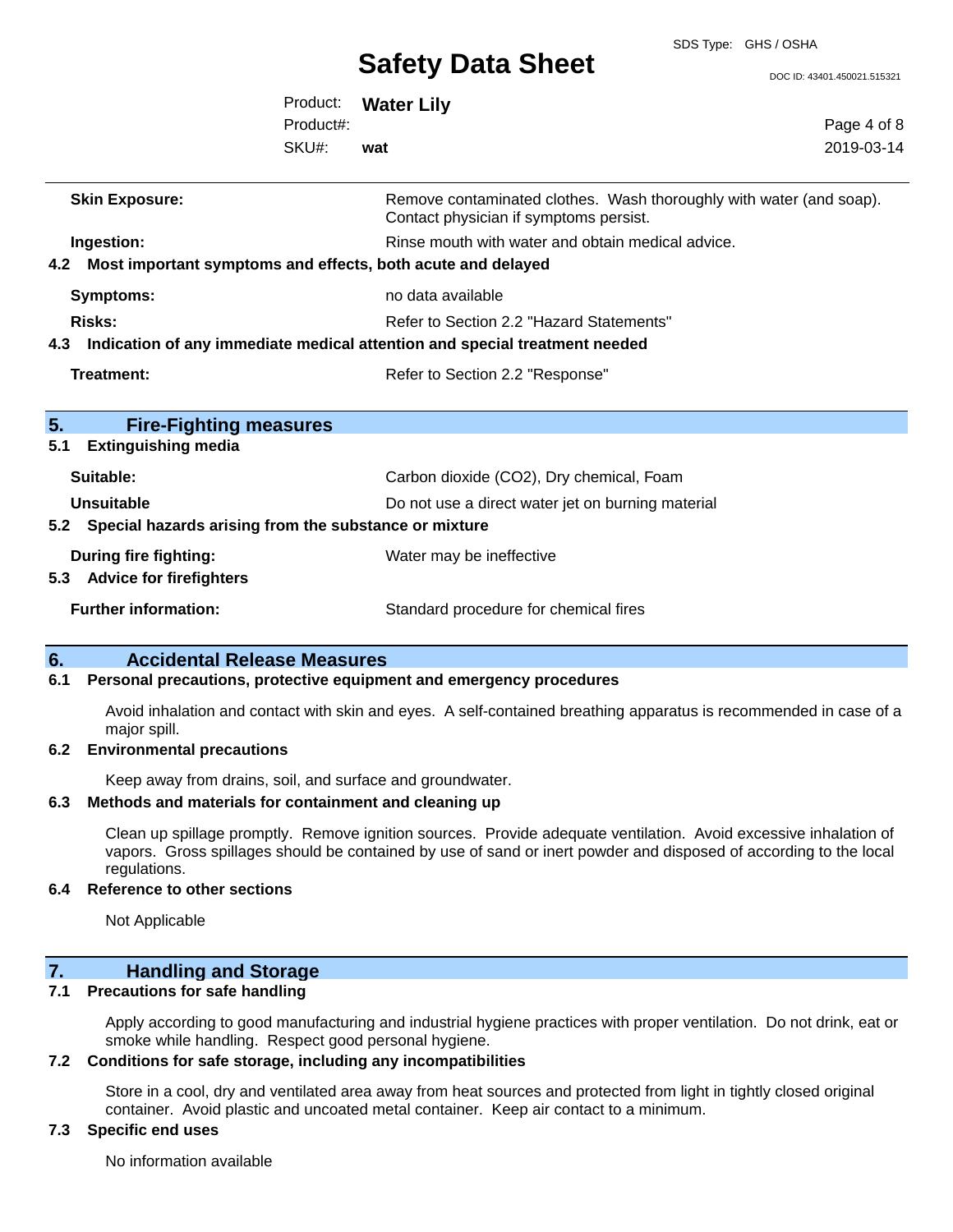SDS Type: GHS / OSHA

DOC ID: 43401.450021.515321

|                                                                                             | Product:<br>Product#:<br>SKU#: | <b>Water Lily</b><br>wat                                                                                                                        | Page 4 of 8<br>2019-03-14 |
|---------------------------------------------------------------------------------------------|--------------------------------|-------------------------------------------------------------------------------------------------------------------------------------------------|---------------------------|
| <b>Skin Exposure:</b>                                                                       |                                | Remove contaminated clothes. Wash thoroughly with water (and soap).<br>Contact physician if symptoms persist.                                   |                           |
| Ingestion:<br>Most important symptoms and effects, both acute and delayed<br>4.2            |                                | Rinse mouth with water and obtain medical advice.                                                                                               |                           |
| <b>Symptoms:</b><br><b>Risks:</b>                                                           |                                | no data available<br>Refer to Section 2.2 "Hazard Statements"<br>4.3 Indication of any immediate medical attention and special treatment needed |                           |
| <b>Treatment:</b>                                                                           |                                | Refer to Section 2.2 "Response"                                                                                                                 |                           |
| 5.<br><b>Fire-Fighting measures</b><br><b>Extinguishing media</b><br>5.1                    |                                |                                                                                                                                                 |                           |
| Suitable:<br><b>Unsuitable</b><br>5.2 Special hazards arising from the substance or mixture |                                | Carbon dioxide (CO2), Dry chemical, Foam<br>Do not use a direct water jet on burning material                                                   |                           |
| <b>During fire fighting:</b><br>5.3 Advice for firefighters                                 |                                | Water may be ineffective                                                                                                                        |                           |
| <b>Further information:</b>                                                                 |                                | Standard procedure for chemical fires                                                                                                           |                           |

### **6. Accidental Release Measures**

#### **6.1 Personal precautions, protective equipment and emergency procedures**

Avoid inhalation and contact with skin and eyes. A self-contained breathing apparatus is recommended in case of a major spill.

#### **6.2 Environmental precautions**

Keep away from drains, soil, and surface and groundwater.

#### **6.3 Methods and materials for containment and cleaning up**

Clean up spillage promptly. Remove ignition sources. Provide adequate ventilation. Avoid excessive inhalation of vapors. Gross spillages should be contained by use of sand or inert powder and disposed of according to the local regulations.

#### **6.4 Reference to other sections**

Not Applicable

### **7. Handling and Storage**

### **7.1 Precautions for safe handling**

Apply according to good manufacturing and industrial hygiene practices with proper ventilation. Do not drink, eat or smoke while handling. Respect good personal hygiene.

#### **7.2 Conditions for safe storage, including any incompatibilities**

Store in a cool, dry and ventilated area away from heat sources and protected from light in tightly closed original container. Avoid plastic and uncoated metal container. Keep air contact to a minimum.

### **7.3 Specific end uses**

No information available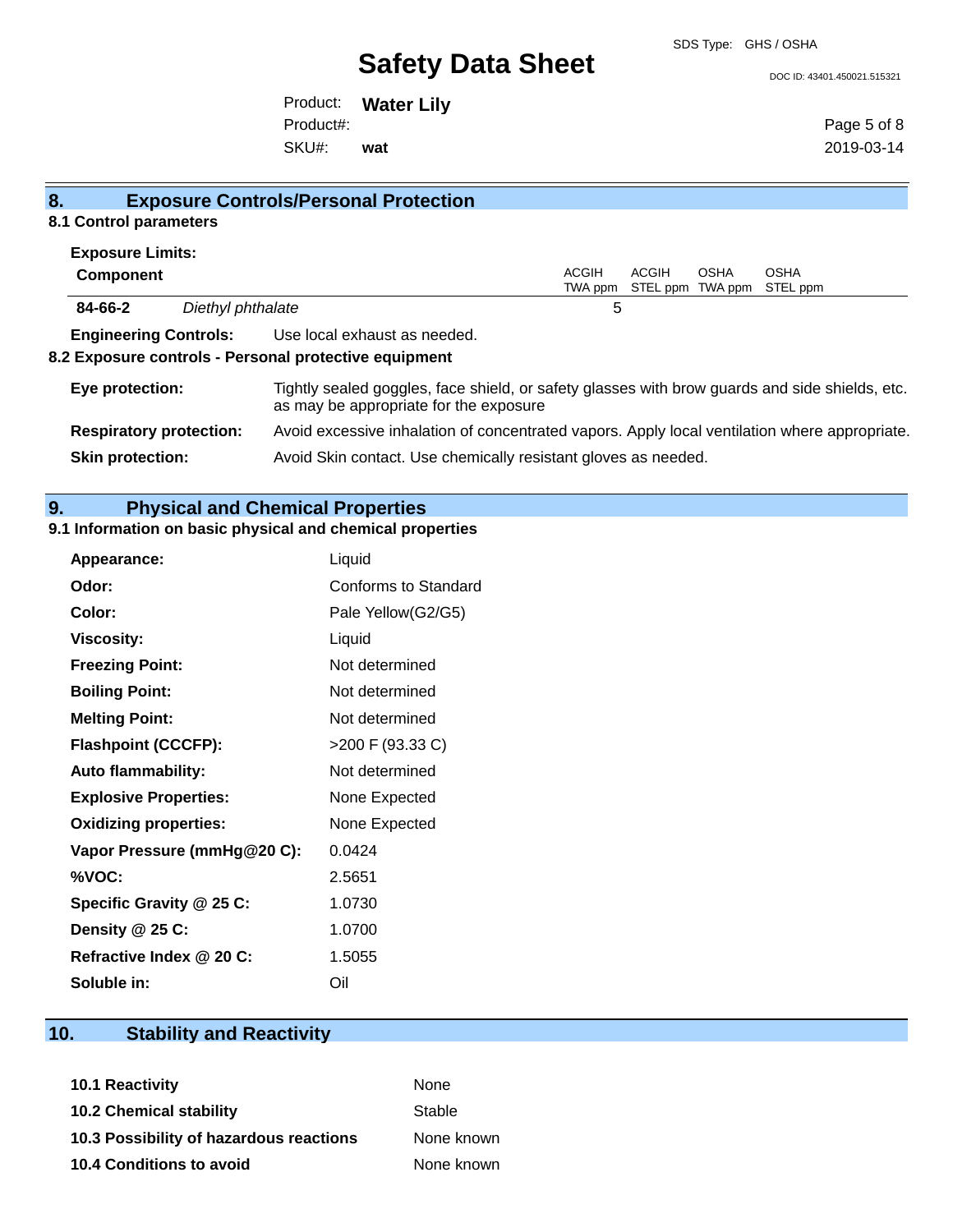#### DOC ID: 43401.450021.515321

Product: **Water Lily** SKU#: Product#: **wat**

Page 5 of 8 2019-03-14

| 8.                             |                   | <b>Exposure Controls/Personal Protection</b>                                                                                             |                         |       |             |                                          |
|--------------------------------|-------------------|------------------------------------------------------------------------------------------------------------------------------------------|-------------------------|-------|-------------|------------------------------------------|
| 8.1 Control parameters         |                   |                                                                                                                                          |                         |       |             |                                          |
| <b>Exposure Limits:</b>        |                   |                                                                                                                                          |                         |       |             |                                          |
| <b>Component</b>               |                   |                                                                                                                                          | <b>ACGIH</b><br>TWA ppm | ACGIH | <b>OSHA</b> | <b>OSHA</b><br>STEL ppm TWA ppm STEL ppm |
| 84-66-2                        | Diethyl phthalate |                                                                                                                                          | 5                       |       |             |                                          |
|                                |                   | <b>Engineering Controls:</b> Use local exhaust as needed.                                                                                |                         |       |             |                                          |
|                                |                   | 8.2 Exposure controls - Personal protective equipment                                                                                    |                         |       |             |                                          |
| Eye protection:                |                   | Tightly sealed goggles, face shield, or safety glasses with brow guards and side shields, etc.<br>as may be appropriate for the exposure |                         |       |             |                                          |
| <b>Respiratory protection:</b> |                   | Avoid excessive inhalation of concentrated vapors. Apply local ventilation where appropriate.                                            |                         |       |             |                                          |
| <b>Skin protection:</b>        |                   | Avoid Skin contact. Use chemically resistant gloves as needed.                                                                           |                         |       |             |                                          |

# **9. Physical and Chemical Properties**

### **9.1 Information on basic physical and chemical properties**

| <b>Appearance:</b>           | Liquid               |
|------------------------------|----------------------|
| Odor:                        | Conforms to Standard |
| Color:                       | Pale Yellow(G2/G5)   |
| <b>Viscosity:</b>            | Liquid               |
| <b>Freezing Point:</b>       | Not determined       |
| <b>Boiling Point:</b>        | Not determined       |
| <b>Melting Point:</b>        | Not determined       |
| <b>Flashpoint (CCCFP):</b>   | >200 F (93.33 C)     |
| <b>Auto flammability:</b>    | Not determined       |
| <b>Explosive Properties:</b> | None Expected        |
| <b>Oxidizing properties:</b> | None Expected        |
| Vapor Pressure (mmHg@20 C):  | 0.0424               |
| %VOC:                        | 2.5651               |
| Specific Gravity @ 25 C:     | 1.0730               |
| Density $@25C$ :             | 1.0700               |
| Refractive Index @ 20 C:     | 1.5055               |
| Soluble in:                  | Oil                  |

# **10. Stability and Reactivity**

| <b>10.1 Reactivity</b>                  | <b>None</b> |
|-----------------------------------------|-------------|
| <b>10.2 Chemical stability</b>          | Stable      |
| 10.3 Possibility of hazardous reactions | None known  |
| <b>10.4 Conditions to avoid</b>         | None known  |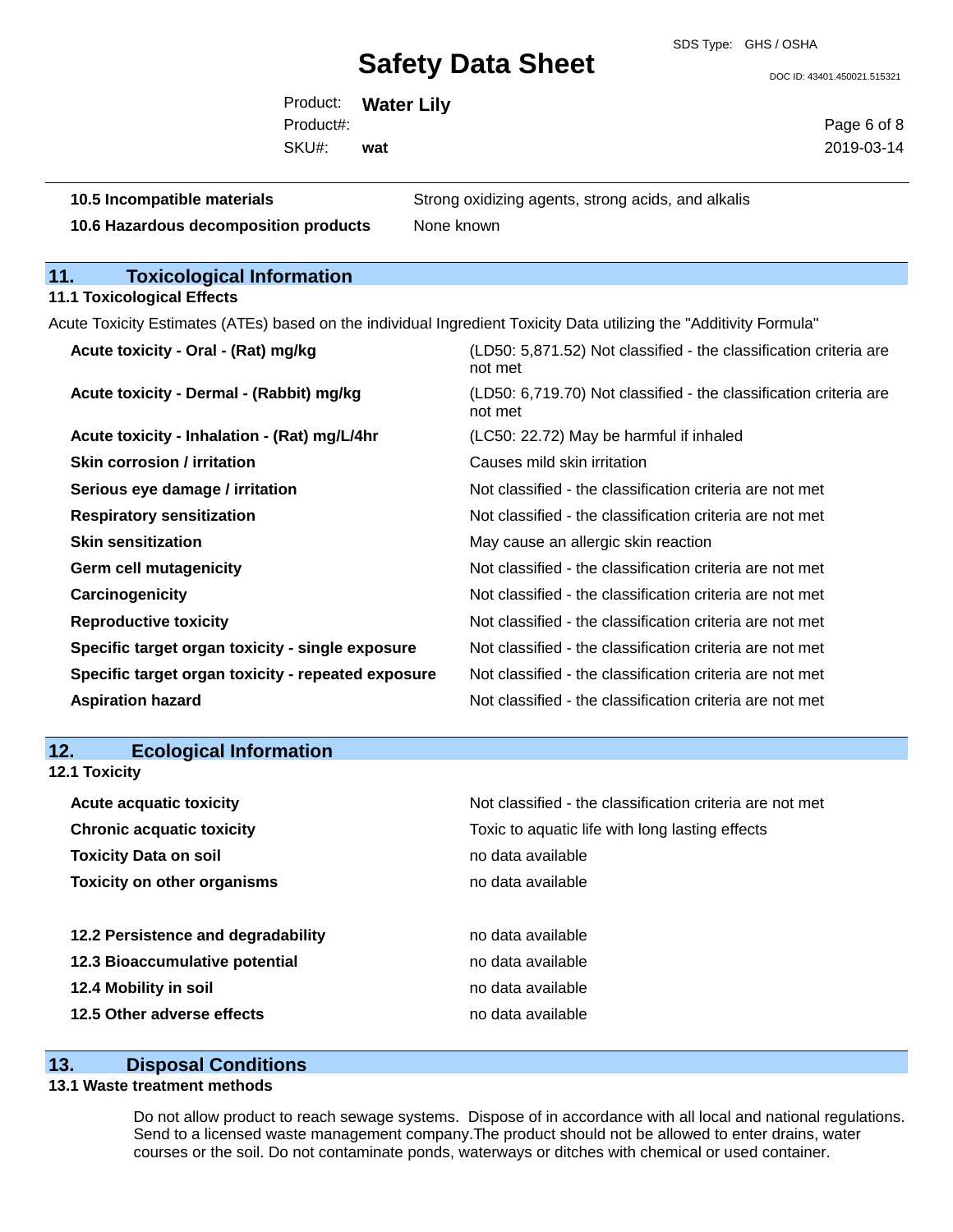SDS Type: GHS / OSHA

DOC ID: 43401.450021.515321

Product: **Water Lily** SKU#: Product#: **wat**

Page 6 of 8 2019-03-14

| 10.5 Incompatible materials                        | Strong oxidizing agents, strong acids, and alkalis                                                                  |  |  |
|----------------------------------------------------|---------------------------------------------------------------------------------------------------------------------|--|--|
| 10.6 Hazardous decomposition products              | None known                                                                                                          |  |  |
|                                                    |                                                                                                                     |  |  |
| 11.<br><b>Toxicological Information</b>            |                                                                                                                     |  |  |
| <b>11.1 Toxicological Effects</b>                  |                                                                                                                     |  |  |
|                                                    | Acute Toxicity Estimates (ATEs) based on the individual Ingredient Toxicity Data utilizing the "Additivity Formula" |  |  |
| Acute toxicity - Oral - (Rat) mg/kg                | (LD50: 5,871.52) Not classified - the classification criteria are<br>not met                                        |  |  |
| Acute toxicity - Dermal - (Rabbit) mg/kg           | (LD50: 6,719.70) Not classified - the classification criteria are<br>not met                                        |  |  |
| Acute toxicity - Inhalation - (Rat) mg/L/4hr       | (LC50: 22.72) May be harmful if inhaled                                                                             |  |  |
| <b>Skin corrosion / irritation</b>                 | Causes mild skin irritation                                                                                         |  |  |
| Serious eye damage / irritation                    | Not classified - the classification criteria are not met                                                            |  |  |
| <b>Respiratory sensitization</b>                   | Not classified - the classification criteria are not met                                                            |  |  |
| <b>Skin sensitization</b>                          | May cause an allergic skin reaction                                                                                 |  |  |
| <b>Germ cell mutagenicity</b>                      | Not classified - the classification criteria are not met                                                            |  |  |
| Carcinogenicity                                    | Not classified - the classification criteria are not met                                                            |  |  |
| <b>Reproductive toxicity</b>                       | Not classified - the classification criteria are not met                                                            |  |  |
| Specific target organ toxicity - single exposure   | Not classified - the classification criteria are not met                                                            |  |  |
| Specific target organ toxicity - repeated exposure | Not classified - the classification criteria are not met                                                            |  |  |
| <b>Aspiration hazard</b>                           | Not classified - the classification criteria are not met                                                            |  |  |
| 10                                                 |                                                                                                                     |  |  |
| Ecological Information                             |                                                                                                                     |  |  |

| 12.           | <b>Ecological Information</b> |         |
|---------------|-------------------------------|---------|
| 12.1 Toxicity |                               |         |
|               | Acute acquatic toxicity       | Not cla |

| <b>Acute acquatic toxicity</b>     | Not classified - the classification criteria are not met |
|------------------------------------|----------------------------------------------------------|
| <b>Chronic acquatic toxicity</b>   | Toxic to aquatic life with long lasting effects          |
| <b>Toxicity Data on soil</b>       | no data available                                        |
| <b>Toxicity on other organisms</b> | no data available                                        |
|                                    |                                                          |
| 12.2 Persistence and degradability | no data available                                        |
| 12.3 Bioaccumulative potential     | no data available                                        |
| 12.4 Mobility in soil              | no data available                                        |
| 12.5 Other adverse effects         | no data available                                        |
|                                    |                                                          |

## **13. Disposal Conditions**

#### **13.1 Waste treatment methods**

Do not allow product to reach sewage systems. Dispose of in accordance with all local and national regulations. Send to a licensed waste management company.The product should not be allowed to enter drains, water courses or the soil. Do not contaminate ponds, waterways or ditches with chemical or used container.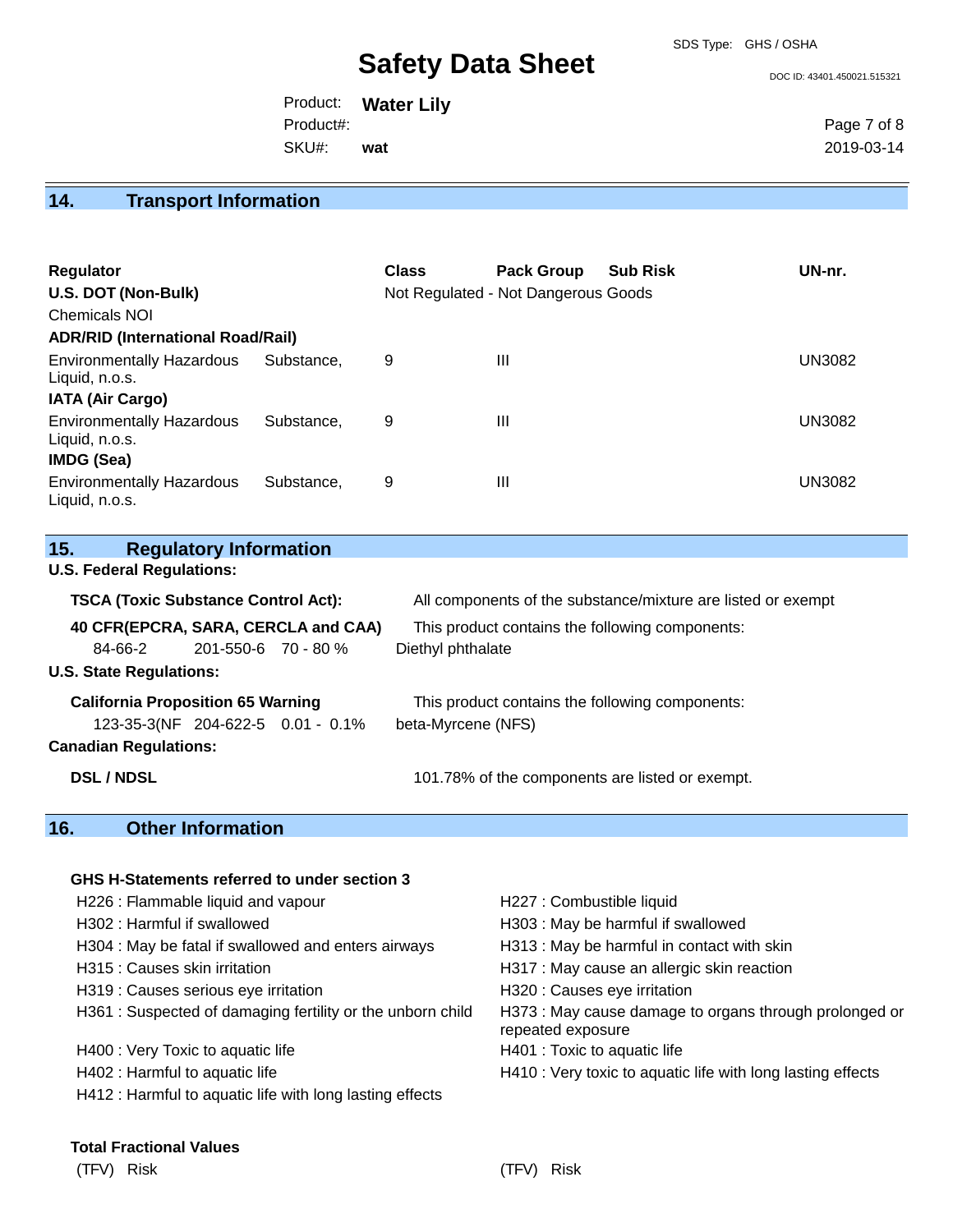DOC ID: 43401.450021.515321

Product: **Water Lily** SKU#: Product#: **wat**

Page 7 of 8 2019-03-14

# **14. Transport Information**

| <b>Regulator</b><br>U.S. DOT (Non-Bulk)<br>Chemicals NOI<br><b>ADR/RID (International Road/Rail)</b> |            | <b>Class</b> | <b>Pack Group</b><br>Not Regulated - Not Dangerous Goods | <b>Sub Risk</b> | UN-nr.        |
|------------------------------------------------------------------------------------------------------|------------|--------------|----------------------------------------------------------|-----------------|---------------|
| <b>Environmentally Hazardous</b><br>Liquid, n.o.s.                                                   | Substance. | 9            | $\mathbf{III}$                                           |                 | <b>UN3082</b> |
| <b>IATA (Air Cargo)</b><br><b>Environmentally Hazardous</b><br>Liquid, n.o.s.<br><b>IMDG (Sea)</b>   | Substance. | 9            | $\mathbf{III}$                                           |                 | <b>UN3082</b> |
| <b>Environmentally Hazardous</b><br>Liquid, n.o.s.                                                   | Substance. | 9            | Ш                                                        |                 | <b>UN3082</b> |

| 15.<br><b>Regulatory Information</b>       |                                                              |
|--------------------------------------------|--------------------------------------------------------------|
| <b>U.S. Federal Regulations:</b>           |                                                              |
| <b>TSCA (Toxic Substance Control Act):</b> | All components of the substance/mixture are listed or exempt |
| 40 CFR(EPCRA, SARA, CERCLA and CAA)        | This product contains the following components:              |
| 84-66-2<br>$201 - 550 - 6$ 70 - 80 %       | Diethyl phthalate                                            |
| <b>U.S. State Regulations:</b>             |                                                              |
| <b>California Proposition 65 Warning</b>   | This product contains the following components:              |
| 123-35-3(NF 204-622-5 0.01 - 0.1%          | beta-Myrcene (NFS)                                           |
| <b>Canadian Regulations:</b>               |                                                              |
| <b>DSL / NDSL</b>                          | 101.78% of the components are listed or exempt.              |
| 4 Q<br>Othor Information                   |                                                              |

#### **16. Other Information**

| GHS H-Statements referred to under section 3               |                                                                             |
|------------------------------------------------------------|-----------------------------------------------------------------------------|
| H226 : Flammable liquid and vapour                         | H227 : Combustible liquid                                                   |
| H302 : Harmful if swallowed                                | H303 : May be harmful if swallowed                                          |
| H304 : May be fatal if swallowed and enters airways        | H313 : May be harmful in contact with skin                                  |
| H315 : Causes skin irritation                              | H317 : May cause an allergic skin reaction                                  |
| H319 : Causes serious eye irritation                       | H320 : Causes eye irritation                                                |
| H361 : Suspected of damaging fertility or the unborn child | H373 : May cause damage to organs through prolonged or<br>repeated exposure |
| H400 : Very Toxic to aquatic life                          | H401 : Toxic to aquatic life                                                |
| H402 : Harmful to aquatic life                             | H410 : Very toxic to aquatic life with long lasting effects                 |
| H412 : Harmful to aquatic life with long lasting effects   |                                                                             |
|                                                            |                                                                             |

#### **Total Fractional Values**